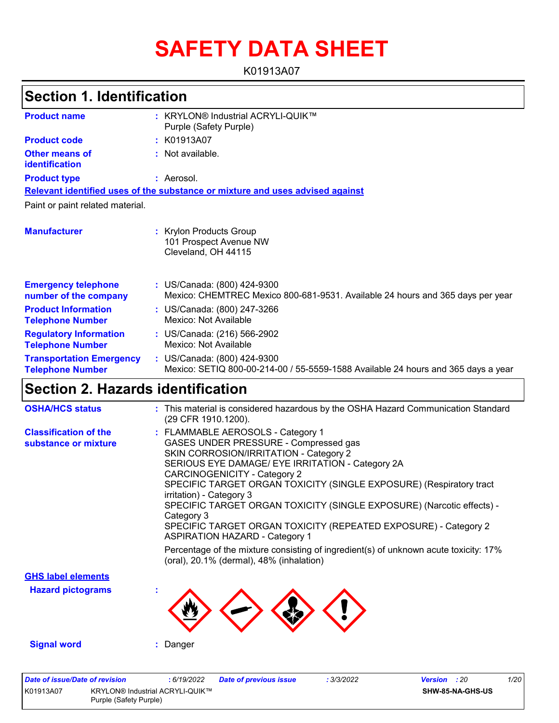# **SAFETY DATA SHEET**

K01913A07

### **Section 1. Identification**

| <b>Product name</b>                                        | <b>KRYLON® Industrial ACRYLI-QUIK™</b><br>÷.<br>Purple (Safety Purple)                                           |
|------------------------------------------------------------|------------------------------------------------------------------------------------------------------------------|
| <b>Product code</b>                                        | : K01913A07                                                                                                      |
| <b>Other means of</b><br>identification                    | Not available.                                                                                                   |
| <b>Product type</b>                                        | : Aerosol.                                                                                                       |
|                                                            | Relevant identified uses of the substance or mixture and uses advised against                                    |
| Paint or paint related material.                           |                                                                                                                  |
| <b>Manufacturer</b>                                        | <b>Krylon Products Group</b><br>101 Prospect Avenue NW<br>Cleveland, OH 44115                                    |
| <b>Emergency telephone</b><br>number of the company        | : US/Canada: (800) 424-9300<br>Mexico: CHEMTREC Mexico 800-681-9531. Available 24 hours and 365 days per year    |
| <b>Product Information</b><br><b>Telephone Number</b>      | : US/Canada: (800) 247-3266<br>Mexico: Not Available                                                             |
| <b>Regulatory Information</b><br><b>Telephone Number</b>   | : US/Canada: (216) 566-2902<br>Mexico: Not Available                                                             |
| <b>Transportation Emergency</b><br><b>Telephone Number</b> | : US/Canada: (800) 424-9300<br>Mexico: SETIQ 800-00-214-00 / 55-5559-1588 Available 24 hours and 365 days a year |

### **Section 2. Hazards identification**

| <b>OSHA/HCS status</b>                               | : This material is considered hazardous by the OSHA Hazard Communication Standard<br>(29 CFR 1910.1200).                                                                                                                                                                                                                                                                                                                                                                                                              |
|------------------------------------------------------|-----------------------------------------------------------------------------------------------------------------------------------------------------------------------------------------------------------------------------------------------------------------------------------------------------------------------------------------------------------------------------------------------------------------------------------------------------------------------------------------------------------------------|
| <b>Classification of the</b><br>substance or mixture | : FLAMMABLE AEROSOLS - Category 1<br>GASES UNDER PRESSURE - Compressed gas<br>SKIN CORROSION/IRRITATION - Category 2<br>SERIOUS EYE DAMAGE/ EYE IRRITATION - Category 2A<br><b>CARCINOGENICITY - Category 2</b><br>SPECIFIC TARGET ORGAN TOXICITY (SINGLE EXPOSURE) (Respiratory tract<br>irritation) - Category 3<br>SPECIFIC TARGET ORGAN TOXICITY (SINGLE EXPOSURE) (Narcotic effects) -<br>Category 3<br>SPECIFIC TARGET ORGAN TOXICITY (REPEATED EXPOSURE) - Category 2<br><b>ASPIRATION HAZARD - Category 1</b> |
|                                                      | Percentage of the mixture consisting of ingredient(s) of unknown acute toxicity: 17%<br>(oral), 20.1% (dermal), 48% (inhalation)                                                                                                                                                                                                                                                                                                                                                                                      |
| <b>GHS label elements</b>                            |                                                                                                                                                                                                                                                                                                                                                                                                                                                                                                                       |
| <b>Hazard pictograms</b>                             |                                                                                                                                                                                                                                                                                                                                                                                                                                                                                                                       |
| <b>Signal word</b>                                   | : Danger                                                                                                                                                                                                                                                                                                                                                                                                                                                                                                              |

| Date of issue/Date of revision |                                                                  | : 6/19/2022 | <b>Date of previous issue</b> | .3/3/2022 | <b>Version</b> : 20 |                         | 1/20 |
|--------------------------------|------------------------------------------------------------------|-------------|-------------------------------|-----------|---------------------|-------------------------|------|
| K01913A07                      | <b>KRYLON® Industrial ACRYLI-QUIK™</b><br>Purple (Safety Purple) |             |                               |           |                     | <b>SHW-85-NA-GHS-US</b> |      |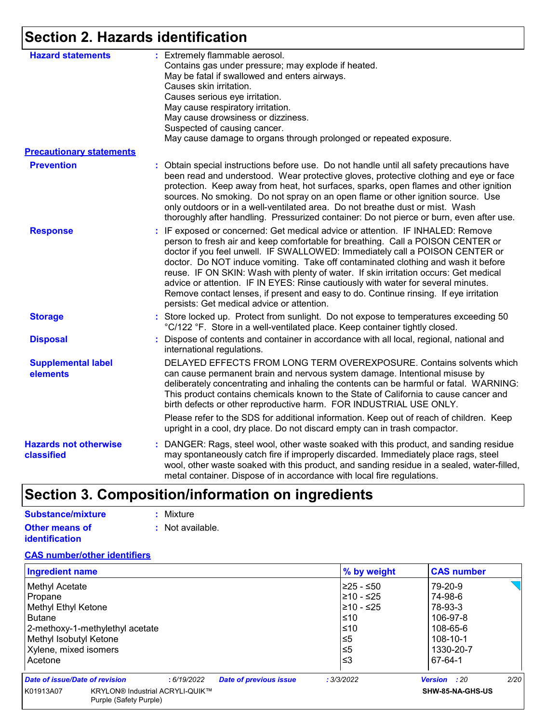### **Section 2. Hazards identification**

| <b>Hazard statements</b>                   | : Extremely flammable aerosol.<br>Contains gas under pressure; may explode if heated.<br>May be fatal if swallowed and enters airways.<br>Causes skin irritation.<br>Causes serious eye irritation.<br>May cause respiratory irritation.<br>May cause drowsiness or dizziness.<br>Suspected of causing cancer.<br>May cause damage to organs through prolonged or repeated exposure.                                                                                                                                                                                                                                                                       |
|--------------------------------------------|------------------------------------------------------------------------------------------------------------------------------------------------------------------------------------------------------------------------------------------------------------------------------------------------------------------------------------------------------------------------------------------------------------------------------------------------------------------------------------------------------------------------------------------------------------------------------------------------------------------------------------------------------------|
| <b>Precautionary statements</b>            |                                                                                                                                                                                                                                                                                                                                                                                                                                                                                                                                                                                                                                                            |
| <b>Prevention</b>                          | : Obtain special instructions before use. Do not handle until all safety precautions have<br>been read and understood. Wear protective gloves, protective clothing and eye or face<br>protection. Keep away from heat, hot surfaces, sparks, open flames and other ignition<br>sources. No smoking. Do not spray on an open flame or other ignition source. Use<br>only outdoors or in a well-ventilated area. Do not breathe dust or mist. Wash<br>thoroughly after handling. Pressurized container: Do not pierce or burn, even after use.                                                                                                               |
| <b>Response</b>                            | : IF exposed or concerned: Get medical advice or attention. IF INHALED: Remove<br>person to fresh air and keep comfortable for breathing. Call a POISON CENTER or<br>doctor if you feel unwell. IF SWALLOWED: Immediately call a POISON CENTER or<br>doctor. Do NOT induce vomiting. Take off contaminated clothing and wash it before<br>reuse. IF ON SKIN: Wash with plenty of water. If skin irritation occurs: Get medical<br>advice or attention. IF IN EYES: Rinse cautiously with water for several minutes.<br>Remove contact lenses, if present and easy to do. Continue rinsing. If eye irritation<br>persists: Get medical advice or attention. |
| <b>Storage</b>                             | : Store locked up. Protect from sunlight. Do not expose to temperatures exceeding 50<br>°C/122 °F. Store in a well-ventilated place. Keep container tightly closed.                                                                                                                                                                                                                                                                                                                                                                                                                                                                                        |
| <b>Disposal</b>                            | : Dispose of contents and container in accordance with all local, regional, national and<br>international regulations.                                                                                                                                                                                                                                                                                                                                                                                                                                                                                                                                     |
| <b>Supplemental label</b><br>elements      | DELAYED EFFECTS FROM LONG TERM OVEREXPOSURE. Contains solvents which<br>can cause permanent brain and nervous system damage. Intentional misuse by<br>deliberately concentrating and inhaling the contents can be harmful or fatal. WARNING:<br>This product contains chemicals known to the State of California to cause cancer and<br>birth defects or other reproductive harm. FOR INDUSTRIAL USE ONLY.                                                                                                                                                                                                                                                 |
|                                            | Please refer to the SDS for additional information. Keep out of reach of children. Keep<br>upright in a cool, dry place. Do not discard empty can in trash compactor.                                                                                                                                                                                                                                                                                                                                                                                                                                                                                      |
| <b>Hazards not otherwise</b><br>classified | : DANGER: Rags, steel wool, other waste soaked with this product, and sanding residue<br>may spontaneously catch fire if improperly discarded. Immediately place rags, steel<br>wool, other waste soaked with this product, and sanding residue in a sealed, water-filled,<br>metal container. Dispose of in accordance with local fire regulations.                                                                                                                                                                                                                                                                                                       |

## **Section 3. Composition/information on ingredients**

| Substance/mixture     | : Mixture        |
|-----------------------|------------------|
| <b>Other means of</b> | : Not available. |
| <b>identification</b> |                  |

#### **CAS number/other identifiers**

| <b>Ingredient name</b>          |                                                           |            |                               | % by weight | <b>CAS number</b>   |      |
|---------------------------------|-----------------------------------------------------------|------------|-------------------------------|-------------|---------------------|------|
| Methyl Acetate                  |                                                           |            |                               | l≥25 - ≤50  | 79-20-9             |      |
| Propane                         |                                                           |            |                               | l≥10 - ≤25  | 74-98-6             |      |
| Methyl Ethyl Ketone             |                                                           |            |                               | 210 - ≤25   | 78-93-3             |      |
| <b>Butane</b>                   |                                                           |            |                               | l≤10        | 106-97-8            |      |
| 2-methoxy-1-methylethyl acetate |                                                           |            | l≤10                          | 108-65-6    |                     |      |
| Methyl Isobutyl Ketone          |                                                           |            | ≤5                            | 108-10-1    |                     |      |
| Xylene, mixed isomers           |                                                           |            | $\leq 5$                      | 1330-20-7   |                     |      |
| Acetone                         |                                                           |            |                               | l≤3         | 67-64-1             |      |
| Date of issue/Date of revision  |                                                           | :6/19/2022 | <b>Date of previous issue</b> | : 3/3/2022  | <b>Version</b> : 20 | 2/20 |
| K01913A07                       | KRYLON® Industrial ACRYLI-QUIK™<br>Purple (Safety Purple) |            |                               |             | SHW-85-NA-GHS-US    |      |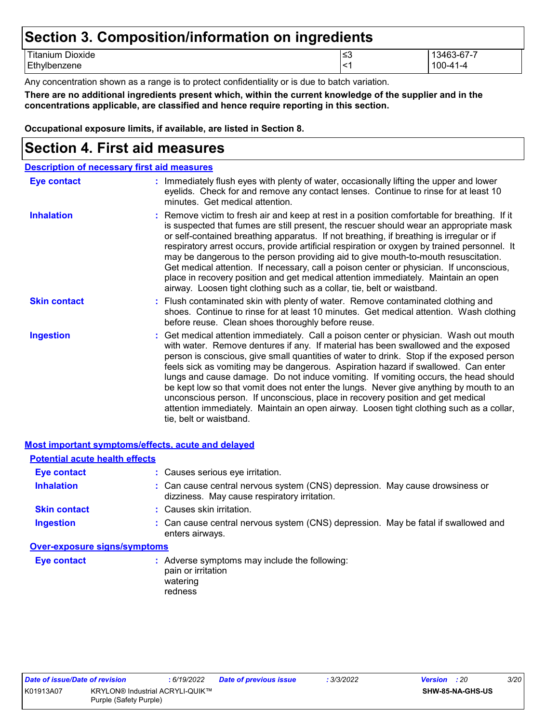### **Section 3. Composition/information on ingredients** Titanium Dioxide ≤3 13463-67-7

| $ \cdot$<br>----<br>--<br>- 1<br>nzene<br>эм.<br>-- |     |                                                       |
|-----------------------------------------------------|-----|-------------------------------------------------------|
| namun<br>UIUAIUU                                    | ن⇒⊺ | .<br>$\sim$ $\sim$ $\sim$ $\sim$ $\sim$ $\sim$ $\sim$ |

Any concentration shown as a range is to protect confidentiality or is due to batch variation.

**There are no additional ingredients present which, within the current knowledge of the supplier and in the concentrations applicable, are classified and hence require reporting in this section.**

**Occupational exposure limits, if available, are listed in Section 8.**

### **Section 4. First aid measures**

| <b>Description of necessary first aid measures</b> |                                                                                                                                                                                                                                                                                                                                                                                                                                                                                                                                                                                                                                                                                                                                                         |  |  |  |
|----------------------------------------------------|---------------------------------------------------------------------------------------------------------------------------------------------------------------------------------------------------------------------------------------------------------------------------------------------------------------------------------------------------------------------------------------------------------------------------------------------------------------------------------------------------------------------------------------------------------------------------------------------------------------------------------------------------------------------------------------------------------------------------------------------------------|--|--|--|
| <b>Eye contact</b>                                 | : Immediately flush eyes with plenty of water, occasionally lifting the upper and lower<br>eyelids. Check for and remove any contact lenses. Continue to rinse for at least 10<br>minutes. Get medical attention.                                                                                                                                                                                                                                                                                                                                                                                                                                                                                                                                       |  |  |  |
| <b>Inhalation</b>                                  | : Remove victim to fresh air and keep at rest in a position comfortable for breathing. If it<br>is suspected that fumes are still present, the rescuer should wear an appropriate mask<br>or self-contained breathing apparatus. If not breathing, if breathing is irregular or if<br>respiratory arrest occurs, provide artificial respiration or oxygen by trained personnel. It<br>may be dangerous to the person providing aid to give mouth-to-mouth resuscitation.<br>Get medical attention. If necessary, call a poison center or physician. If unconscious,<br>place in recovery position and get medical attention immediately. Maintain an open<br>airway. Loosen tight clothing such as a collar, tie, belt or waistband.                    |  |  |  |
| <b>Skin contact</b>                                | : Flush contaminated skin with plenty of water. Remove contaminated clothing and<br>shoes. Continue to rinse for at least 10 minutes. Get medical attention. Wash clothing<br>before reuse. Clean shoes thoroughly before reuse.                                                                                                                                                                                                                                                                                                                                                                                                                                                                                                                        |  |  |  |
| <b>Ingestion</b>                                   | : Get medical attention immediately. Call a poison center or physician. Wash out mouth<br>with water. Remove dentures if any. If material has been swallowed and the exposed<br>person is conscious, give small quantities of water to drink. Stop if the exposed person<br>feels sick as vomiting may be dangerous. Aspiration hazard if swallowed. Can enter<br>lungs and cause damage. Do not induce vomiting. If vomiting occurs, the head should<br>be kept low so that vomit does not enter the lungs. Never give anything by mouth to an<br>unconscious person. If unconscious, place in recovery position and get medical<br>attention immediately. Maintain an open airway. Loosen tight clothing such as a collar,<br>tie, belt or waistband. |  |  |  |

|                                       | <b>Most important symptoms/effects, acute and delayed</b>                                                                    |
|---------------------------------------|------------------------------------------------------------------------------------------------------------------------------|
| <b>Potential acute health effects</b> |                                                                                                                              |
| Eye contact                           | : Causes serious eye irritation.                                                                                             |
| <b>Inhalation</b>                     | : Can cause central nervous system (CNS) depression. May cause drowsiness or<br>dizziness. May cause respiratory irritation. |
| <b>Skin contact</b>                   | : Causes skin irritation.                                                                                                    |
| <b>Ingestion</b>                      | : Can cause central nervous system (CNS) depression. May be fatal if swallowed and<br>enters airways.                        |
| <b>Over-exposure signs/symptoms</b>   |                                                                                                                              |
| <b>Eye contact</b>                    | : Adverse symptoms may include the following:<br>pain or irritation<br>watering<br>redness                                   |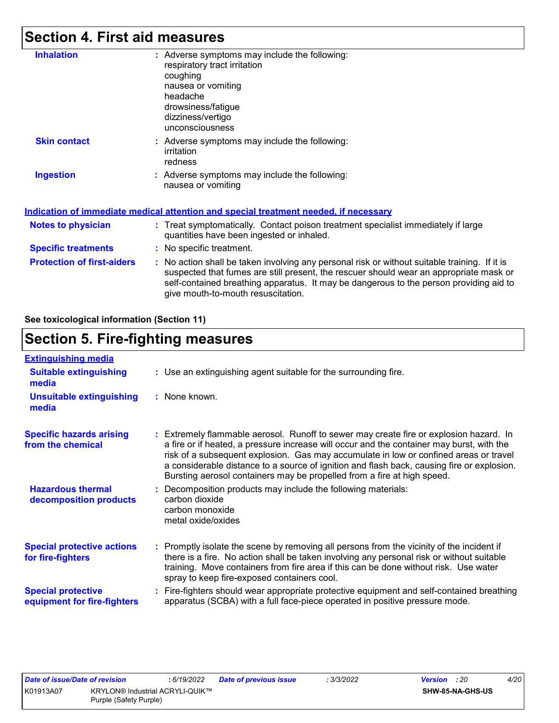### **Section 4. First aid measures**

| <b>Inhalation</b>                 | : Adverse symptoms may include the following:                                                                                                                                                                                                                                                                           |
|-----------------------------------|-------------------------------------------------------------------------------------------------------------------------------------------------------------------------------------------------------------------------------------------------------------------------------------------------------------------------|
|                                   | respiratory tract irritation                                                                                                                                                                                                                                                                                            |
|                                   | coughing                                                                                                                                                                                                                                                                                                                |
|                                   | nausea or vomiting                                                                                                                                                                                                                                                                                                      |
|                                   | headache                                                                                                                                                                                                                                                                                                                |
|                                   | drowsiness/fatigue                                                                                                                                                                                                                                                                                                      |
|                                   | dizziness/vertigo                                                                                                                                                                                                                                                                                                       |
|                                   | unconsciousness                                                                                                                                                                                                                                                                                                         |
| <b>Skin contact</b>               | : Adverse symptoms may include the following:                                                                                                                                                                                                                                                                           |
|                                   | irritation                                                                                                                                                                                                                                                                                                              |
|                                   | redness                                                                                                                                                                                                                                                                                                                 |
| <b>Ingestion</b>                  | : Adverse symptoms may include the following:                                                                                                                                                                                                                                                                           |
|                                   | nausea or vomiting                                                                                                                                                                                                                                                                                                      |
|                                   |                                                                                                                                                                                                                                                                                                                         |
|                                   | Indication of immediate medical attention and special treatment needed, if necessary                                                                                                                                                                                                                                    |
| <b>Notes to physician</b>         | : Treat symptomatically. Contact poison treatment specialist immediately if large<br>quantities have been ingested or inhaled.                                                                                                                                                                                          |
| <b>Specific treatments</b>        | : No specific treatment.                                                                                                                                                                                                                                                                                                |
|                                   |                                                                                                                                                                                                                                                                                                                         |
| <b>Protection of first-aiders</b> | : No action shall be taken involving any personal risk or without suitable training. If it is<br>suspected that fumes are still present, the rescuer should wear an appropriate mask or<br>self-contained breathing apparatus. It may be dangerous to the person providing aid to<br>give mouth-to-mouth resuscitation. |

**See toxicological information (Section 11)**

### **Section 5. Fire-fighting measures**

| <b>Extinguishing media</b>                               |                                                                                                                                                                                                                                                                                                                                                                                                                                                       |
|----------------------------------------------------------|-------------------------------------------------------------------------------------------------------------------------------------------------------------------------------------------------------------------------------------------------------------------------------------------------------------------------------------------------------------------------------------------------------------------------------------------------------|
| <b>Suitable extinguishing</b><br>media                   | : Use an extinguishing agent suitable for the surrounding fire.                                                                                                                                                                                                                                                                                                                                                                                       |
| <b>Unsuitable extinguishing</b><br>media                 | : None known.                                                                                                                                                                                                                                                                                                                                                                                                                                         |
| <b>Specific hazards arising</b><br>from the chemical     | : Extremely flammable aerosol. Runoff to sewer may create fire or explosion hazard. In<br>a fire or if heated, a pressure increase will occur and the container may burst, with the<br>risk of a subsequent explosion. Gas may accumulate in low or confined areas or travel<br>a considerable distance to a source of ignition and flash back, causing fire or explosion.<br>Bursting aerosol containers may be propelled from a fire at high speed. |
| <b>Hazardous thermal</b><br>decomposition products       | Decomposition products may include the following materials:<br>carbon dioxide<br>carbon monoxide<br>metal oxide/oxides                                                                                                                                                                                                                                                                                                                                |
| <b>Special protective actions</b><br>for fire-fighters   | : Promptly isolate the scene by removing all persons from the vicinity of the incident if<br>there is a fire. No action shall be taken involving any personal risk or without suitable<br>training. Move containers from fire area if this can be done without risk. Use water<br>spray to keep fire-exposed containers cool.                                                                                                                         |
| <b>Special protective</b><br>equipment for fire-fighters | : Fire-fighters should wear appropriate protective equipment and self-contained breathing<br>apparatus (SCBA) with a full face-piece operated in positive pressure mode.                                                                                                                                                                                                                                                                              |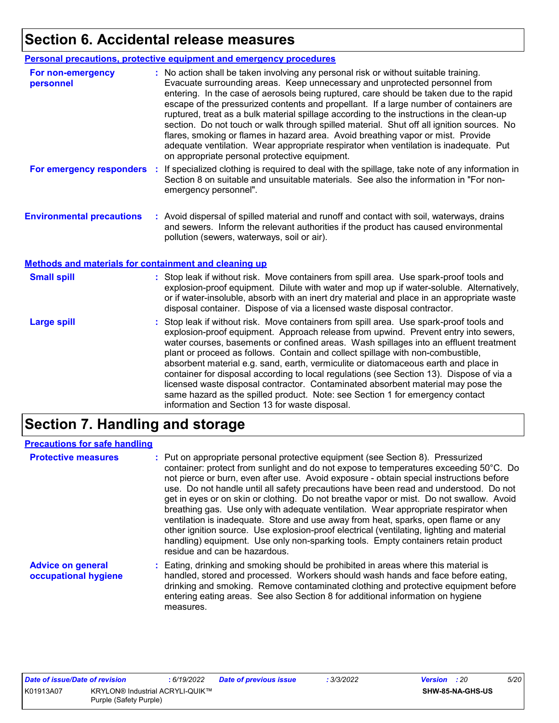## **Section 6. Accidental release measures**

|                                                              | <b>Personal precautions, protective equipment and emergency procedures</b>                                                                                                                                                                                                                                                                                                                                                                                                                                                                                                                                                                                                                                                                                                       |
|--------------------------------------------------------------|----------------------------------------------------------------------------------------------------------------------------------------------------------------------------------------------------------------------------------------------------------------------------------------------------------------------------------------------------------------------------------------------------------------------------------------------------------------------------------------------------------------------------------------------------------------------------------------------------------------------------------------------------------------------------------------------------------------------------------------------------------------------------------|
| For non-emergency<br>personnel                               | : No action shall be taken involving any personal risk or without suitable training.<br>Evacuate surrounding areas. Keep unnecessary and unprotected personnel from<br>entering. In the case of aerosols being ruptured, care should be taken due to the rapid<br>escape of the pressurized contents and propellant. If a large number of containers are<br>ruptured, treat as a bulk material spillage according to the instructions in the clean-up<br>section. Do not touch or walk through spilled material. Shut off all ignition sources. No<br>flares, smoking or flames in hazard area. Avoid breathing vapor or mist. Provide<br>adequate ventilation. Wear appropriate respirator when ventilation is inadequate. Put<br>on appropriate personal protective equipment. |
| For emergency responders                                     | If specialized clothing is required to deal with the spillage, take note of any information in<br>÷.<br>Section 8 on suitable and unsuitable materials. See also the information in "For non-<br>emergency personnel".                                                                                                                                                                                                                                                                                                                                                                                                                                                                                                                                                           |
| <b>Environmental precautions</b>                             | : Avoid dispersal of spilled material and runoff and contact with soil, waterways, drains<br>and sewers. Inform the relevant authorities if the product has caused environmental<br>pollution (sewers, waterways, soil or air).                                                                                                                                                                                                                                                                                                                                                                                                                                                                                                                                                  |
| <b>Methods and materials for containment and cleaning up</b> |                                                                                                                                                                                                                                                                                                                                                                                                                                                                                                                                                                                                                                                                                                                                                                                  |
| <b>Small spill</b>                                           | : Stop leak if without risk. Move containers from spill area. Use spark-proof tools and<br>explosion-proof equipment. Dilute with water and mop up if water-soluble. Alternatively,<br>or if water-insoluble, absorb with an inert dry material and place in an appropriate waste<br>disposal container. Dispose of via a licensed waste disposal contractor.                                                                                                                                                                                                                                                                                                                                                                                                                    |
| <b>Large spill</b>                                           | : Stop leak if without risk. Move containers from spill area. Use spark-proof tools and<br>explosion-proof equipment. Approach release from upwind. Prevent entry into sewers,<br>water courses, basements or confined areas. Wash spillages into an effluent treatment<br>plant or proceed as follows. Contain and collect spillage with non-combustible,<br>absorbent material e.g. sand, earth, vermiculite or diatomaceous earth and place in<br>container for disposal according to local regulations (see Section 13). Dispose of via a<br>licensed waste disposal contractor. Contaminated absorbent material may pose the<br>same hazard as the spilled product. Note: see Section 1 for emergency contact<br>information and Section 13 for waste disposal.             |

### **Section 7. Handling and storage**

### **Precautions for safe handling**

| <b>Protective measures</b>                       | : Put on appropriate personal protective equipment (see Section 8). Pressurized<br>container: protect from sunlight and do not expose to temperatures exceeding 50°C. Do<br>not pierce or burn, even after use. Avoid exposure - obtain special instructions before<br>use. Do not handle until all safety precautions have been read and understood. Do not<br>get in eyes or on skin or clothing. Do not breathe vapor or mist. Do not swallow. Avoid<br>breathing gas. Use only with adequate ventilation. Wear appropriate respirator when<br>ventilation is inadequate. Store and use away from heat, sparks, open flame or any<br>other ignition source. Use explosion-proof electrical (ventilating, lighting and material<br>handling) equipment. Use only non-sparking tools. Empty containers retain product<br>residue and can be hazardous. |
|--------------------------------------------------|---------------------------------------------------------------------------------------------------------------------------------------------------------------------------------------------------------------------------------------------------------------------------------------------------------------------------------------------------------------------------------------------------------------------------------------------------------------------------------------------------------------------------------------------------------------------------------------------------------------------------------------------------------------------------------------------------------------------------------------------------------------------------------------------------------------------------------------------------------|
| <b>Advice on general</b><br>occupational hygiene | : Eating, drinking and smoking should be prohibited in areas where this material is<br>handled, stored and processed. Workers should wash hands and face before eating,<br>drinking and smoking. Remove contaminated clothing and protective equipment before<br>entering eating areas. See also Section 8 for additional information on hygiene<br>measures.                                                                                                                                                                                                                                                                                                                                                                                                                                                                                           |

| Date of issue/Date of revision |                                        | : 6/19/2022 | Date of previous issue | : 3/3/2022 | <b>Version</b> : 20 |                  | 5/20 |
|--------------------------------|----------------------------------------|-------------|------------------------|------------|---------------------|------------------|------|
| K01913A07                      | <b>KRYLON® Industrial ACRYLI-QUIK™</b> |             |                        |            |                     | SHW-85-NA-GHS-US |      |
|                                | Purple (Safety Purple)                 |             |                        |            |                     |                  |      |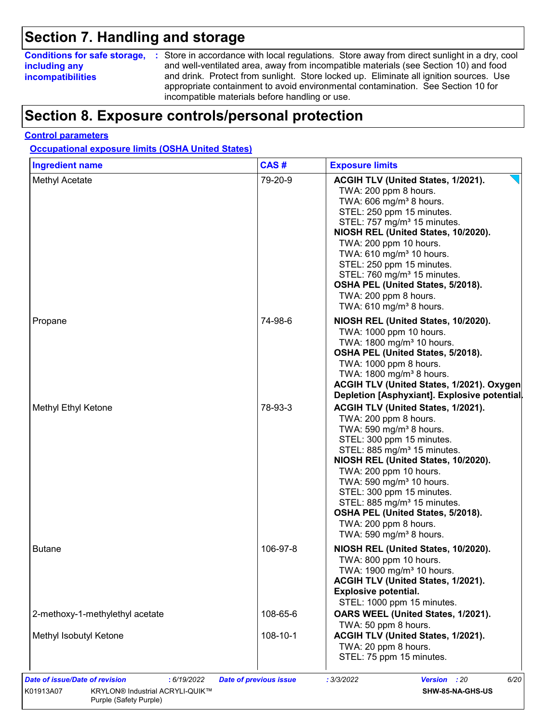### **Section 7. Handling and storage**

### **including any incompatibilities**

**Conditions for safe storage,** : Store in accordance with local regulations. Store away from direct sunlight in a dry, cool and well-ventilated area, away from incompatible materials (see Section 10) and food and drink. Protect from sunlight. Store locked up. Eliminate all ignition sources. Use appropriate containment to avoid environmental contamination. See Section 10 for incompatible materials before handling or use.

### **Section 8. Exposure controls/personal protection**

#### **Control parameters**

**Occupational exposure limits (OSHA United States)**

| <b>Ingredient name</b>          | CAS#     | <b>Exposure limits</b>                                                                                                                                                                                                                                                                                                                                                                                                                                            |
|---------------------------------|----------|-------------------------------------------------------------------------------------------------------------------------------------------------------------------------------------------------------------------------------------------------------------------------------------------------------------------------------------------------------------------------------------------------------------------------------------------------------------------|
| Methyl Acetate                  | 79-20-9  | ACGIH TLV (United States, 1/2021).<br>TWA: 200 ppm 8 hours.<br>TWA: $606 \text{ mg/m}^3$ 8 hours.<br>STEL: 250 ppm 15 minutes.<br>STEL: 757 mg/m <sup>3</sup> 15 minutes.<br>NIOSH REL (United States, 10/2020).<br>TWA: 200 ppm 10 hours.<br>TWA: 610 mg/m <sup>3</sup> 10 hours.<br>STEL: 250 ppm 15 minutes.<br>STEL: 760 mg/m <sup>3</sup> 15 minutes.<br>OSHA PEL (United States, 5/2018).<br>TWA: 200 ppm 8 hours.<br>TWA: $610$ mg/m <sup>3</sup> 8 hours. |
| Propane                         | 74-98-6  | NIOSH REL (United States, 10/2020).<br>TWA: 1000 ppm 10 hours.<br>TWA: 1800 mg/m <sup>3</sup> 10 hours.<br>OSHA PEL (United States, 5/2018).<br>TWA: 1000 ppm 8 hours.<br>TWA: 1800 mg/m <sup>3</sup> 8 hours.<br>ACGIH TLV (United States, 1/2021). Oxygen<br>Depletion [Asphyxiant]. Explosive potential.                                                                                                                                                       |
| Methyl Ethyl Ketone             | 78-93-3  | ACGIH TLV (United States, 1/2021).<br>TWA: 200 ppm 8 hours.<br>TWA: 590 mg/m <sup>3</sup> 8 hours.<br>STEL: 300 ppm 15 minutes.<br>STEL: 885 mg/m <sup>3</sup> 15 minutes.<br>NIOSH REL (United States, 10/2020).<br>TWA: 200 ppm 10 hours.<br>TWA: 590 mg/m <sup>3</sup> 10 hours.<br>STEL: 300 ppm 15 minutes.<br>STEL: 885 mg/m <sup>3</sup> 15 minutes.<br>OSHA PEL (United States, 5/2018).<br>TWA: 200 ppm 8 hours.<br>TWA: 590 mg/m <sup>3</sup> 8 hours.  |
| <b>Butane</b>                   | 106-97-8 | NIOSH REL (United States, 10/2020).<br>TWA: 800 ppm 10 hours.<br>TWA: 1900 mg/m <sup>3</sup> 10 hours.<br>ACGIH TLV (United States, 1/2021).<br>Explosive potential.<br>STEL: 1000 ppm 15 minutes.                                                                                                                                                                                                                                                                |
| 2-methoxy-1-methylethyl acetate | 108-65-6 | OARS WEEL (United States, 1/2021).<br>TWA: 50 ppm 8 hours.                                                                                                                                                                                                                                                                                                                                                                                                        |
| Methyl Isobutyl Ketone          | 108-10-1 | ACGIH TLV (United States, 1/2021).<br>TWA: 20 ppm 8 hours.<br>STEL: 75 ppm 15 minutes.                                                                                                                                                                                                                                                                                                                                                                            |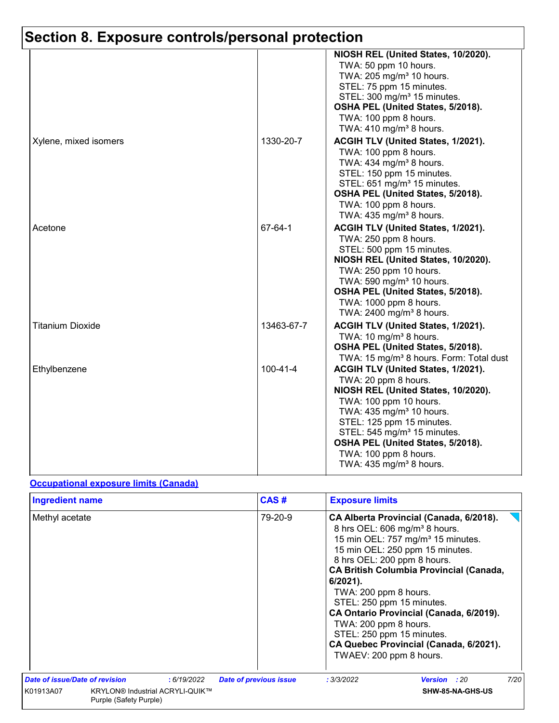|                         |            | NIOSH REL (United States, 10/2020).                                 |
|-------------------------|------------|---------------------------------------------------------------------|
|                         |            | TWA: 50 ppm 10 hours.                                               |
|                         |            | TWA: 205 mg/m <sup>3</sup> 10 hours.                                |
|                         |            |                                                                     |
|                         |            | STEL: 75 ppm 15 minutes.<br>STEL: 300 mg/m <sup>3</sup> 15 minutes. |
|                         |            | OSHA PEL (United States, 5/2018).                                   |
|                         |            | TWA: 100 ppm 8 hours.                                               |
|                         |            | TWA: $410$ mg/m <sup>3</sup> 8 hours.                               |
|                         |            |                                                                     |
| Xylene, mixed isomers   | 1330-20-7  | ACGIH TLV (United States, 1/2021).                                  |
|                         |            | TWA: 100 ppm 8 hours.                                               |
|                         |            | TWA: 434 mg/m <sup>3</sup> 8 hours.                                 |
|                         |            | STEL: 150 ppm 15 minutes.                                           |
|                         |            | STEL: 651 mg/m <sup>3</sup> 15 minutes.                             |
|                         |            | OSHA PEL (United States, 5/2018).                                   |
|                         |            | TWA: 100 ppm 8 hours.                                               |
|                         |            | TWA: $435 \text{ mg/m}^3$ 8 hours.                                  |
| Acetone                 | 67-64-1    | ACGIH TLV (United States, 1/2021).                                  |
|                         |            | TWA: 250 ppm 8 hours.                                               |
|                         |            | STEL: 500 ppm 15 minutes.                                           |
|                         |            | NIOSH REL (United States, 10/2020).                                 |
|                         |            | TWA: 250 ppm 10 hours.                                              |
|                         |            | TWA: 590 mg/m <sup>3</sup> 10 hours.                                |
|                         |            | OSHA PEL (United States, 5/2018).                                   |
|                         |            | TWA: 1000 ppm 8 hours.                                              |
|                         |            | TWA: 2400 mg/m <sup>3</sup> 8 hours.                                |
| <b>Titanium Dioxide</b> | 13463-67-7 | ACGIH TLV (United States, 1/2021).                                  |
|                         |            | TWA: 10 mg/m <sup>3</sup> 8 hours.                                  |
|                         |            | OSHA PEL (United States, 5/2018).                                   |
|                         |            | TWA: 15 mg/m <sup>3</sup> 8 hours. Form: Total dust                 |
| Ethylbenzene            | 100-41-4   | ACGIH TLV (United States, 1/2021).                                  |
|                         |            | TWA: 20 ppm 8 hours.                                                |
|                         |            | NIOSH REL (United States, 10/2020).                                 |
|                         |            | TWA: 100 ppm 10 hours.                                              |
|                         |            | TWA: 435 mg/m <sup>3</sup> 10 hours.                                |
|                         |            | STEL: 125 ppm 15 minutes.                                           |
|                         |            | STEL: 545 mg/m <sup>3</sup> 15 minutes.                             |
|                         |            | OSHA PEL (United States, 5/2018).                                   |
|                         |            | TWA: 100 ppm 8 hours.                                               |
|                         |            | TWA: 435 mg/m <sup>3</sup> 8 hours.                                 |
|                         |            |                                                                     |

#### **Occupational exposure limits (Canada)**

| <b>Ingredient name</b> |                                                                  |            | CAS#                          | <b>Exposure limits</b>                                                                                                                                                            |                                                                                                                                                                                                                                                                                                                 |      |
|------------------------|------------------------------------------------------------------|------------|-------------------------------|-----------------------------------------------------------------------------------------------------------------------------------------------------------------------------------|-----------------------------------------------------------------------------------------------------------------------------------------------------------------------------------------------------------------------------------------------------------------------------------------------------------------|------|
| Methyl acetate         |                                                                  |            | 79-20-9                       | 8 hrs OEL: 200 ppm 8 hours.<br>$6/2021$ ).<br>TWA: 200 ppm 8 hours.<br>STEL: 250 ppm 15 minutes.<br>TWA: 200 ppm 8 hours.<br>STEL: 250 ppm 15 minutes.<br>TWAEV: 200 ppm 8 hours. | CA Alberta Provincial (Canada, 6/2018).<br>8 hrs OEL: 606 mg/m <sup>3</sup> 8 hours.<br>15 min OEL: 757 mg/m <sup>3</sup> 15 minutes.<br>15 min OEL: 250 ppm 15 minutes.<br><b>CA British Columbia Provincial (Canada,</b><br>CA Ontario Provincial (Canada, 6/2019).<br>CA Quebec Provincial (Canada, 6/2021). |      |
|                        | Date of issue/Date of revision                                   | :6/19/2022 | <b>Date of previous issue</b> | : 3/3/2022                                                                                                                                                                        | Version : 20                                                                                                                                                                                                                                                                                                    | 7/20 |
| K01913A07              | <b>KRYLON® Industrial ACRYLI-QUIK™</b><br>Purple (Safety Purple) |            |                               |                                                                                                                                                                                   | SHW-85-NA-GHS-US                                                                                                                                                                                                                                                                                                |      |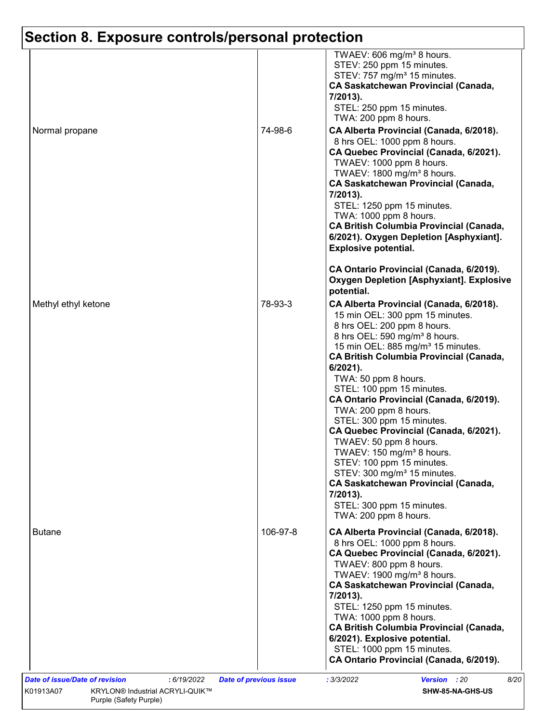| Normal propane      | 74-98-6  | TWAEV: 606 mg/m <sup>3</sup> 8 hours.<br>STEV: 250 ppm 15 minutes.<br>STEV: 757 mg/m <sup>3</sup> 15 minutes.<br><b>CA Saskatchewan Provincial (Canada,</b><br>7/2013).<br>STEL: 250 ppm 15 minutes.<br>TWA: 200 ppm 8 hours.<br>CA Alberta Provincial (Canada, 6/2018).<br>8 hrs OEL: 1000 ppm 8 hours.<br>CA Quebec Provincial (Canada, 6/2021).<br>TWAEV: 1000 ppm 8 hours.<br>TWAEV: 1800 mg/m <sup>3</sup> 8 hours.                                                                                                                                                                                                                                                                                                         |
|---------------------|----------|----------------------------------------------------------------------------------------------------------------------------------------------------------------------------------------------------------------------------------------------------------------------------------------------------------------------------------------------------------------------------------------------------------------------------------------------------------------------------------------------------------------------------------------------------------------------------------------------------------------------------------------------------------------------------------------------------------------------------------|
|                     |          | <b>CA Saskatchewan Provincial (Canada,</b><br>7/2013).<br>STEL: 1250 ppm 15 minutes.<br>TWA: 1000 ppm 8 hours.<br><b>CA British Columbia Provincial (Canada,</b><br>6/2021). Oxygen Depletion [Asphyxiant].<br><b>Explosive potential.</b><br>CA Ontario Provincial (Canada, 6/2019).                                                                                                                                                                                                                                                                                                                                                                                                                                            |
|                     |          | <b>Oxygen Depletion [Asphyxiant]. Explosive</b><br>potential.                                                                                                                                                                                                                                                                                                                                                                                                                                                                                                                                                                                                                                                                    |
| Methyl ethyl ketone | 78-93-3  | CA Alberta Provincial (Canada, 6/2018).<br>15 min OEL: 300 ppm 15 minutes.<br>8 hrs OEL: 200 ppm 8 hours.<br>8 hrs OEL: 590 mg/m <sup>3</sup> 8 hours.<br>15 min OEL: 885 mg/m <sup>3</sup> 15 minutes.<br><b>CA British Columbia Provincial (Canada,</b><br>6/2021).<br>TWA: 50 ppm 8 hours.<br>STEL: 100 ppm 15 minutes.<br>CA Ontario Provincial (Canada, 6/2019).<br>TWA: 200 ppm 8 hours.<br>STEL: 300 ppm 15 minutes.<br>CA Quebec Provincial (Canada, 6/2021).<br>TWAEV: 50 ppm 8 hours.<br>TWAEV: 150 mg/m <sup>3</sup> 8 hours.<br>STEV: 100 ppm 15 minutes.<br>STEV: 300 mg/m <sup>3</sup> 15 minutes.<br><b>CA Saskatchewan Provincial (Canada,</b><br>7/2013).<br>STEL: 300 ppm 15 minutes.<br>TWA: 200 ppm 8 hours. |
| <b>Butane</b>       | 106-97-8 | CA Alberta Provincial (Canada, 6/2018).<br>8 hrs OEL: 1000 ppm 8 hours.<br>CA Quebec Provincial (Canada, 6/2021).<br>TWAEV: 800 ppm 8 hours.<br>TWAEV: 1900 mg/m <sup>3</sup> 8 hours.<br><b>CA Saskatchewan Provincial (Canada,</b><br>7/2013).<br>STEL: 1250 ppm 15 minutes.<br>TWA: 1000 ppm 8 hours.<br><b>CA British Columbia Provincial (Canada,</b><br>6/2021). Explosive potential.<br>STEL: 1000 ppm 15 minutes.<br>CA Ontario Provincial (Canada, 6/2019).                                                                                                                                                                                                                                                             |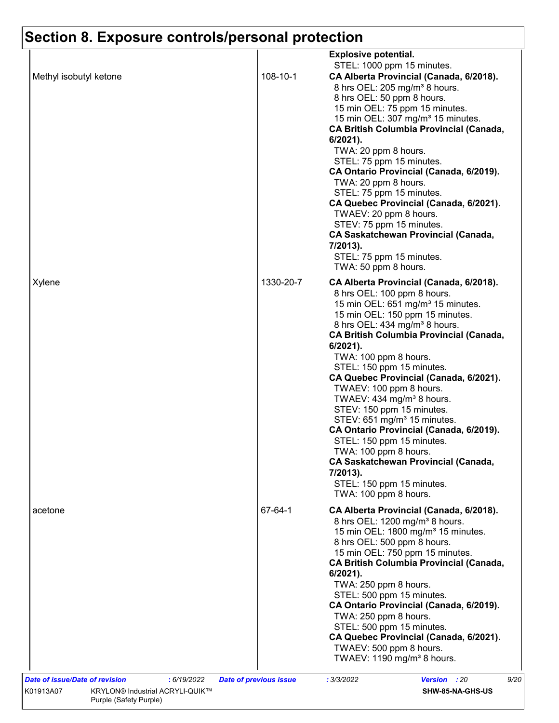| Methyl isobutyl ketone                               | 108-10-1                      | <b>Explosive potential.</b><br>STEL: 1000 ppm 15 minutes.<br>CA Alberta Provincial (Canada, 6/2018).<br>8 hrs OEL: 205 mg/m <sup>3</sup> 8 hours.<br>8 hrs OEL: 50 ppm 8 hours.                                                                                                                                                                                                                                                                                                                                                                                                                                                                                                                                                       |
|------------------------------------------------------|-------------------------------|---------------------------------------------------------------------------------------------------------------------------------------------------------------------------------------------------------------------------------------------------------------------------------------------------------------------------------------------------------------------------------------------------------------------------------------------------------------------------------------------------------------------------------------------------------------------------------------------------------------------------------------------------------------------------------------------------------------------------------------|
|                                                      |                               | 15 min OEL: 75 ppm 15 minutes.<br>15 min OEL: 307 mg/m <sup>3</sup> 15 minutes.<br><b>CA British Columbia Provincial (Canada,</b><br>6/2021).<br>TWA: 20 ppm 8 hours.<br>STEL: 75 ppm 15 minutes.<br>CA Ontario Provincial (Canada, 6/2019).<br>TWA: 20 ppm 8 hours.<br>STEL: 75 ppm 15 minutes.<br>CA Quebec Provincial (Canada, 6/2021).<br>TWAEV: 20 ppm 8 hours.<br>STEV: 75 ppm 15 minutes.<br><b>CA Saskatchewan Provincial (Canada,</b><br>7/2013).<br>STEL: 75 ppm 15 minutes.<br>TWA: 50 ppm 8 hours.                                                                                                                                                                                                                        |
| Xylene                                               | 1330-20-7                     | CA Alberta Provincial (Canada, 6/2018).<br>8 hrs OEL: 100 ppm 8 hours.<br>15 min OEL: 651 mg/m <sup>3</sup> 15 minutes.<br>15 min OEL: 150 ppm 15 minutes.<br>8 hrs OEL: 434 mg/m <sup>3</sup> 8 hours.<br><b>CA British Columbia Provincial (Canada,</b><br>$6/2021$ ).<br>TWA: 100 ppm 8 hours.<br>STEL: 150 ppm 15 minutes.<br>CA Quebec Provincial (Canada, 6/2021).<br>TWAEV: 100 ppm 8 hours.<br>TWAEV: 434 mg/m <sup>3</sup> 8 hours.<br>STEV: 150 ppm 15 minutes.<br>STEV: 651 mg/m <sup>3</sup> 15 minutes.<br>CA Ontario Provincial (Canada, 6/2019).<br>STEL: 150 ppm 15 minutes.<br>TWA: 100 ppm 8 hours.<br><b>CA Saskatchewan Provincial (Canada,</b><br>7/2013).<br>STEL: 150 ppm 15 minutes.<br>TWA: 100 ppm 8 hours. |
| acetone                                              | 67-64-1                       | CA Alberta Provincial (Canada, 6/2018).<br>8 hrs OEL: 1200 mg/m <sup>3</sup> 8 hours.<br>15 min OEL: 1800 mg/m <sup>3</sup> 15 minutes.<br>8 hrs OEL: 500 ppm 8 hours.<br>15 min OEL: 750 ppm 15 minutes.<br><b>CA British Columbia Provincial (Canada,</b><br>6/2021).<br>TWA: 250 ppm 8 hours.<br>STEL: 500 ppm 15 minutes.<br>CA Ontario Provincial (Canada, 6/2019).<br>TWA: 250 ppm 8 hours.<br>STEL: 500 ppm 15 minutes.<br>CA Quebec Provincial (Canada, 6/2021).<br>TWAEV: 500 ppm 8 hours.<br>TWAEV: 1190 mg/m <sup>3</sup> 8 hours.                                                                                                                                                                                         |
| <b>Date of issue/Date of revision</b><br>: 6/19/2022 | <b>Date of previous issue</b> | 9/20<br>: 3/3/2022<br>Version : 20                                                                                                                                                                                                                                                                                                                                                                                                                                                                                                                                                                                                                                                                                                    |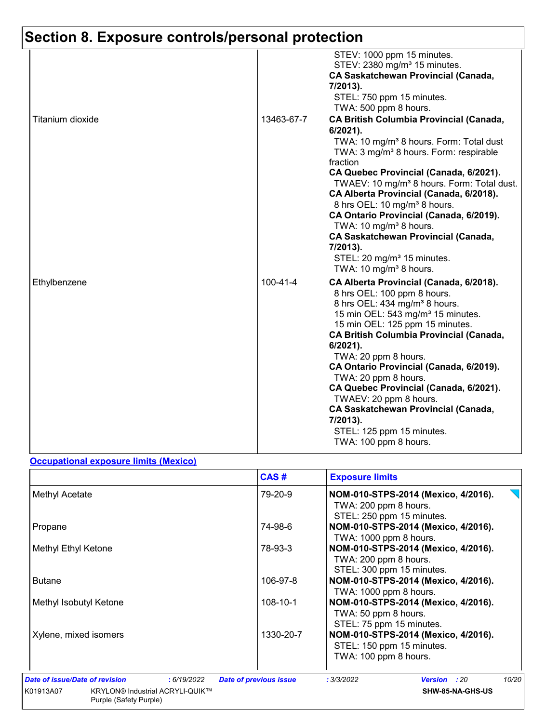|                  |                | STEV: 1000 ppm 15 minutes.                                                                                                                                                             |
|------------------|----------------|----------------------------------------------------------------------------------------------------------------------------------------------------------------------------------------|
|                  |                | STEV: 2380 mg/m <sup>3</sup> 15 minutes.                                                                                                                                               |
|                  |                | <b>CA Saskatchewan Provincial (Canada,</b><br>7/2013).                                                                                                                                 |
|                  |                | STEL: 750 ppm 15 minutes.                                                                                                                                                              |
|                  |                | TWA: 500 ppm 8 hours.                                                                                                                                                                  |
| Titanium dioxide | 13463-67-7     | <b>CA British Columbia Provincial (Canada,</b><br>$6/2021$ ).<br>TWA: 10 mg/m <sup>3</sup> 8 hours. Form: Total dust<br>TWA: 3 mg/m <sup>3</sup> 8 hours. Form: respirable<br>fraction |
|                  |                | CA Quebec Provincial (Canada, 6/2021).                                                                                                                                                 |
|                  |                | TWAEV: 10 mg/m <sup>3</sup> 8 hours. Form: Total dust.<br>CA Alberta Provincial (Canada, 6/2018).                                                                                      |
|                  |                | 8 hrs OEL: 10 mg/m <sup>3</sup> 8 hours.<br>CA Ontario Provincial (Canada, 6/2019).                                                                                                    |
|                  |                | TWA: 10 mg/m <sup>3</sup> 8 hours.                                                                                                                                                     |
|                  |                | <b>CA Saskatchewan Provincial (Canada,</b>                                                                                                                                             |
|                  |                | 7/2013).                                                                                                                                                                               |
|                  |                | STEL: 20 mg/m <sup>3</sup> 15 minutes.                                                                                                                                                 |
|                  |                | TWA: 10 mg/m <sup>3</sup> 8 hours.                                                                                                                                                     |
| Ethylbenzene     | $100 - 41 - 4$ | CA Alberta Provincial (Canada, 6/2018).<br>8 hrs OEL: 100 ppm 8 hours.<br>8 hrs OEL: 434 mg/m <sup>3</sup> 8 hours.                                                                    |
|                  |                | 15 min OEL: 543 mg/m <sup>3</sup> 15 minutes.                                                                                                                                          |
|                  |                | 15 min OEL: 125 ppm 15 minutes.<br><b>CA British Columbia Provincial (Canada,</b>                                                                                                      |
|                  |                | $6/2021$ ).                                                                                                                                                                            |
|                  |                | TWA: 20 ppm 8 hours.                                                                                                                                                                   |
|                  |                | CA Ontario Provincial (Canada, 6/2019).                                                                                                                                                |
|                  |                | TWA: 20 ppm 8 hours.                                                                                                                                                                   |
|                  |                | CA Quebec Provincial (Canada, 6/2021).<br>TWAEV: 20 ppm 8 hours.                                                                                                                       |
|                  |                | <b>CA Saskatchewan Provincial (Canada,</b>                                                                                                                                             |
|                  |                | 7/2013).                                                                                                                                                                               |
|                  |                | STEL: 125 ppm 15 minutes.                                                                                                                                                              |
|                  |                | TWA: 100 ppm 8 hours.                                                                                                                                                                  |

#### **Occupational exposure limits (Mexico)**

| NOM-010-STPS-2014 (Mexico, 4/2016).<br>TWA: 200 ppm 8 hours.<br>STEL: 250 ppm 15 minutes. |
|-------------------------------------------------------------------------------------------|
| NOM-010-STPS-2014 (Mexico, 4/2016).<br>TWA: 1000 ppm 8 hours.                             |
| NOM-010-STPS-2014 (Mexico, 4/2016).<br>TWA: 200 ppm 8 hours.<br>STEL: 300 ppm 15 minutes. |
| NOM-010-STPS-2014 (Mexico, 4/2016).<br>TWA: 1000 ppm 8 hours.                             |
| NOM-010-STPS-2014 (Mexico, 4/2016).<br>TWA: 50 ppm 8 hours.<br>STEL: 75 ppm 15 minutes.   |
| NOM-010-STPS-2014 (Mexico, 4/2016).<br>STEL: 150 ppm 15 minutes.<br>TWA: 100 ppm 8 hours. |
| 10/20<br>: 3/3/2022<br><b>Version</b> : 20<br>SHW-85-NA-GHS-US                            |
|                                                                                           |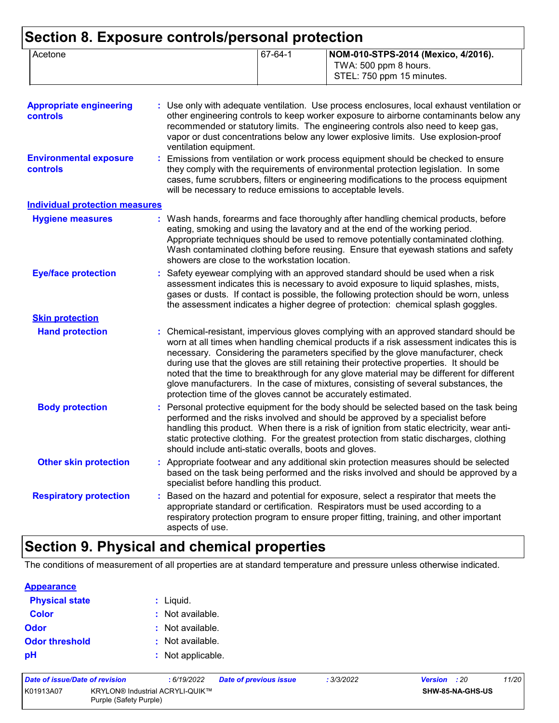| Acetone | 67-64-1 | NOM-010-STPS-2014 (Mexico, 4/2016).<br>TWA: 500 ppm 8 hours.<br>STEL: 750 ppm 15 minutes. |
|---------|---------|-------------------------------------------------------------------------------------------|
|         |         |                                                                                           |

| <b>Appropriate engineering</b><br><b>controls</b> | : Use only with adequate ventilation. Use process enclosures, local exhaust ventilation or<br>other engineering controls to keep worker exposure to airborne contaminants below any<br>recommended or statutory limits. The engineering controls also need to keep gas,<br>vapor or dust concentrations below any lower explosive limits. Use explosion-proof<br>ventilation equipment.                                                                                                                                                                                                                                |
|---------------------------------------------------|------------------------------------------------------------------------------------------------------------------------------------------------------------------------------------------------------------------------------------------------------------------------------------------------------------------------------------------------------------------------------------------------------------------------------------------------------------------------------------------------------------------------------------------------------------------------------------------------------------------------|
| <b>Environmental exposure</b><br><b>controls</b>  | : Emissions from ventilation or work process equipment should be checked to ensure<br>they comply with the requirements of environmental protection legislation. In some<br>cases, fume scrubbers, filters or engineering modifications to the process equipment<br>will be necessary to reduce emissions to acceptable levels.                                                                                                                                                                                                                                                                                        |
| <b>Individual protection measures</b>             |                                                                                                                                                                                                                                                                                                                                                                                                                                                                                                                                                                                                                        |
| <b>Hygiene measures</b>                           | : Wash hands, forearms and face thoroughly after handling chemical products, before<br>eating, smoking and using the lavatory and at the end of the working period.<br>Appropriate techniques should be used to remove potentially contaminated clothing.<br>Wash contaminated clothing before reusing. Ensure that eyewash stations and safety<br>showers are close to the workstation location.                                                                                                                                                                                                                      |
| <b>Eye/face protection</b>                        | : Safety eyewear complying with an approved standard should be used when a risk<br>assessment indicates this is necessary to avoid exposure to liquid splashes, mists,<br>gases or dusts. If contact is possible, the following protection should be worn, unless<br>the assessment indicates a higher degree of protection: chemical splash goggles.                                                                                                                                                                                                                                                                  |
| <b>Skin protection</b>                            |                                                                                                                                                                                                                                                                                                                                                                                                                                                                                                                                                                                                                        |
| <b>Hand protection</b>                            | : Chemical-resistant, impervious gloves complying with an approved standard should be<br>worn at all times when handling chemical products if a risk assessment indicates this is<br>necessary. Considering the parameters specified by the glove manufacturer, check<br>during use that the gloves are still retaining their protective properties. It should be<br>noted that the time to breakthrough for any glove material may be different for different<br>glove manufacturers. In the case of mixtures, consisting of several substances, the<br>protection time of the gloves cannot be accurately estimated. |
| <b>Body protection</b>                            | : Personal protective equipment for the body should be selected based on the task being<br>performed and the risks involved and should be approved by a specialist before<br>handling this product. When there is a risk of ignition from static electricity, wear anti-<br>static protective clothing. For the greatest protection from static discharges, clothing<br>should include anti-static overalls, boots and gloves.                                                                                                                                                                                         |
| <b>Other skin protection</b>                      | : Appropriate footwear and any additional skin protection measures should be selected<br>based on the task being performed and the risks involved and should be approved by a<br>specialist before handling this product.                                                                                                                                                                                                                                                                                                                                                                                              |
| <b>Respiratory protection</b>                     | : Based on the hazard and potential for exposure, select a respirator that meets the<br>appropriate standard or certification. Respirators must be used according to a<br>respiratory protection program to ensure proper fitting, training, and other important<br>aspects of use.                                                                                                                                                                                                                                                                                                                                    |

### **Section 9. Physical and chemical properties**

The conditions of measurement of all properties are at standard temperature and pressure unless otherwise indicated.

#### **Appearance**

| <b>Physical state</b> | : Liquid.         |
|-----------------------|-------------------|
| <b>Color</b>          | : Not available.  |
| <b>Odor</b>           | : Not available.  |
| <b>Odor threshold</b> | : Not available.  |
| рH                    | : Not applicable. |

| Date of issue/Date of revision |                                                                  | : 6/19/2022 | <b>Date of previous issue</b> | : 3/3/2022 | <b>Version</b> : 20 |                         | 11/20 |
|--------------------------------|------------------------------------------------------------------|-------------|-------------------------------|------------|---------------------|-------------------------|-------|
| K01913A07                      | <b>KRYLON® Industrial ACRYLI-QUIK™</b><br>Purple (Safety Purple) |             |                               |            |                     | <b>SHW-85-NA-GHS-US</b> |       |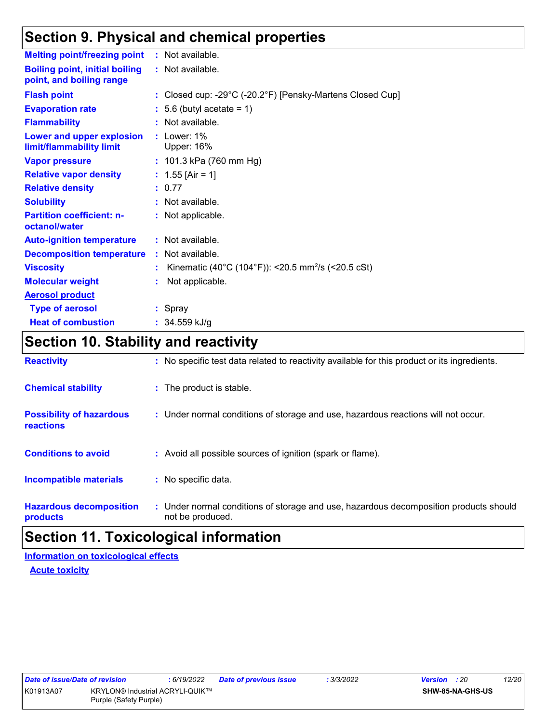### **Section 9. Physical and chemical properties**

| <b>Melting point/freezing point</b>                               | : Not available.                                               |
|-------------------------------------------------------------------|----------------------------------------------------------------|
| <b>Boiling point, initial boiling</b><br>point, and boiling range | : Not available.                                               |
| <b>Flash point</b>                                                | : Closed cup: -29°C (-20.2°F) [Pensky-Martens Closed Cup]      |
| <b>Evaporation rate</b>                                           | $: 5.6$ (butyl acetate = 1)                                    |
| <b>Flammability</b>                                               | : Not available.                                               |
| Lower and upper explosion<br>limit/flammability limit             | $:$ Lower: 1%<br><b>Upper: 16%</b>                             |
| <b>Vapor pressure</b>                                             | : $101.3$ kPa (760 mm Hg)                                      |
| <b>Relative vapor density</b>                                     | : $1.55$ [Air = 1]                                             |
| <b>Relative density</b>                                           | : 0.77                                                         |
| <b>Solubility</b>                                                 | : Not available.                                               |
| <b>Partition coefficient: n-</b><br>octanol/water                 | : Not applicable.                                              |
| <b>Auto-ignition temperature</b>                                  | : Not available.                                               |
| <b>Decomposition temperature</b>                                  | : Not available.                                               |
| <b>Viscosity</b>                                                  | Kinematic (40°C (104°F)): <20.5 mm <sup>2</sup> /s (<20.5 cSt) |
| <b>Molecular weight</b>                                           | Not applicable.                                                |
| <b>Aerosol product</b>                                            |                                                                |
| <b>Type of aerosol</b>                                            | : Spray                                                        |
| <b>Heat of combustion</b>                                         | $: 34.559$ kJ/g                                                |

### **Section 10. Stability and reactivity**

| <b>Reactivity</b>                            | : No specific test data related to reactivity available for this product or its ingredients.              |
|----------------------------------------------|-----------------------------------------------------------------------------------------------------------|
| <b>Chemical stability</b>                    | : The product is stable.                                                                                  |
| <b>Possibility of hazardous</b><br>reactions | : Under normal conditions of storage and use, hazardous reactions will not occur.                         |
| <b>Conditions to avoid</b>                   | : Avoid all possible sources of ignition (spark or flame).                                                |
| <b>Incompatible materials</b>                | : No specific data.                                                                                       |
| <b>Hazardous decomposition</b><br>products   | : Under normal conditions of storage and use, hazardous decomposition products should<br>not be produced. |

### **Section 11. Toxicological information**

#### **Acute toxicity Information on toxicological effects**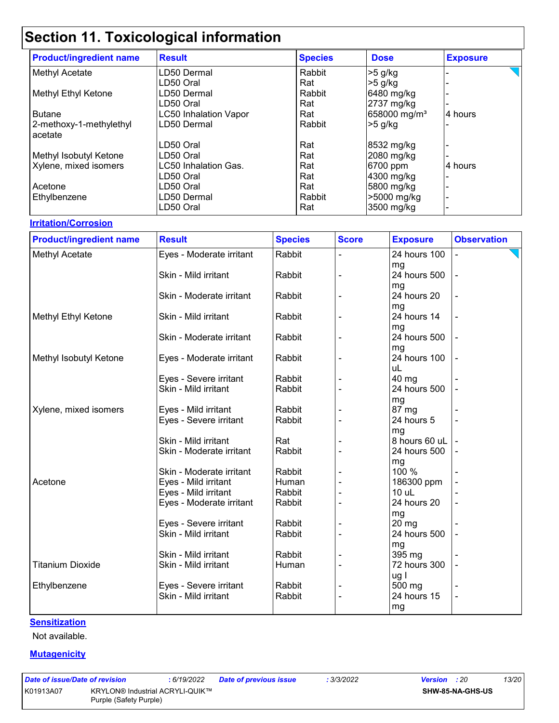| <b>Product/ingredient name</b> | <b>Result</b>                | <b>Species</b> | <b>Dose</b>              | <b>Exposure</b> |
|--------------------------------|------------------------------|----------------|--------------------------|-----------------|
| Methyl Acetate                 | LD50 Dermal                  | Rabbit         | $>5$ g/kg                |                 |
|                                | LD50 Oral                    | Rat            | $>5$ g/kg                |                 |
| Methyl Ethyl Ketone            | LD50 Dermal                  | Rabbit         | 6480 mg/kg               |                 |
|                                | LD50 Oral                    | Rat            | 2737 mg/kg               |                 |
| <b>Butane</b>                  | <b>LC50 Inhalation Vapor</b> | Rat            | 658000 mg/m <sup>3</sup> | 4 hours         |
| 2-methoxy-1-methylethyl        | LD50 Dermal                  | Rabbit         | $>5$ g/kg                |                 |
| acetate                        |                              |                |                          |                 |
|                                | LD50 Oral                    | Rat            | 8532 mg/kg               |                 |
| Methyl Isobutyl Ketone         | LD50 Oral                    | Rat            | 2080 mg/kg               |                 |
| Xylene, mixed isomers          | LC50 Inhalation Gas.         | Rat            | 6700 ppm                 | 4 hours         |
|                                | LD50 Oral                    | Rat            | 4300 mg/kg               |                 |
| Acetone                        | LD50 Oral                    | Rat            | 5800 mg/kg               |                 |
| Ethylbenzene                   | LD50 Dermal                  | Rabbit         | >5000 mg/kg              |                 |
|                                | LD50 Oral                    | Rat            | 3500 mg/kg               |                 |

#### **Irritation/Corrosion**

| <b>Product/ingredient name</b> | <b>Result</b>            | <b>Species</b> | <b>Score</b> | <b>Exposure</b> | <b>Observation</b> |
|--------------------------------|--------------------------|----------------|--------------|-----------------|--------------------|
| Methyl Acetate                 | Eyes - Moderate irritant | Rabbit         |              | 24 hours 100    |                    |
|                                |                          |                |              | mg              |                    |
|                                | Skin - Mild irritant     | Rabbit         |              | 24 hours 500    |                    |
|                                |                          |                |              | mg              |                    |
|                                | Skin - Moderate irritant | Rabbit         |              | 24 hours 20     |                    |
|                                |                          |                |              | mg              |                    |
| Methyl Ethyl Ketone            | Skin - Mild irritant     | Rabbit         |              | 24 hours 14     |                    |
|                                |                          |                |              | mg              |                    |
|                                | Skin - Moderate irritant | Rabbit         |              | 24 hours 500    |                    |
|                                |                          |                |              | mg              |                    |
| Methyl Isobutyl Ketone         | Eyes - Moderate irritant | Rabbit         |              | 24 hours 100    |                    |
|                                |                          |                |              | uL              |                    |
|                                | Eyes - Severe irritant   | Rabbit         |              | 40 mg           |                    |
|                                | Skin - Mild irritant     | Rabbit         |              | 24 hours 500    |                    |
|                                |                          |                |              | mg              |                    |
| Xylene, mixed isomers          | Eyes - Mild irritant     | Rabbit         |              | 87 mg           |                    |
|                                | Eyes - Severe irritant   | Rabbit         |              | 24 hours 5      |                    |
|                                |                          |                |              | mg              |                    |
|                                | Skin - Mild irritant     | Rat            |              | 8 hours 60 uL   |                    |
|                                | Skin - Moderate irritant | Rabbit         |              | 24 hours 500    |                    |
|                                |                          |                |              | mg              |                    |
|                                | Skin - Moderate irritant | Rabbit         |              | 100 %           |                    |
| Acetone                        | Eyes - Mild irritant     | Human          |              | 186300 ppm      |                    |
|                                | Eyes - Mild irritant     | Rabbit         |              | $10$ uL         |                    |
|                                | Eyes - Moderate irritant | Rabbit         |              | 24 hours 20     |                    |
|                                |                          |                |              | mg              |                    |
|                                | Eyes - Severe irritant   | Rabbit         |              | 20 mg           |                    |
|                                | Skin - Mild irritant     | Rabbit         |              | 24 hours 500    |                    |
|                                |                          |                |              | mg              |                    |
|                                | Skin - Mild irritant     | Rabbit         |              | 395 mg          |                    |
| <b>Titanium Dioxide</b>        | Skin - Mild irritant     | Human          |              | 72 hours 300    |                    |
|                                |                          |                |              | ug I            |                    |
| Ethylbenzene                   | Eyes - Severe irritant   | Rabbit         |              | 500 mg          |                    |
|                                | Skin - Mild irritant     | Rabbit         |              | 24 hours 15     | $\blacksquare$     |
|                                |                          |                |              | mg              |                    |

#### **Sensitization**

Not available.

#### **Mutagenicity**

| Date of issue/Date of revision |                                                                  | : 6/19/2022 | <b>Date of previous issue</b> | : 3/3/2022 | <b>Version</b> : 20 |                         | 13/20 |  |
|--------------------------------|------------------------------------------------------------------|-------------|-------------------------------|------------|---------------------|-------------------------|-------|--|
| K01913A07                      | <b>KRYLON® Industrial ACRYLI-QUIK™</b><br>Purple (Safety Purple) |             |                               |            |                     | <b>SHW-85-NA-GHS-US</b> |       |  |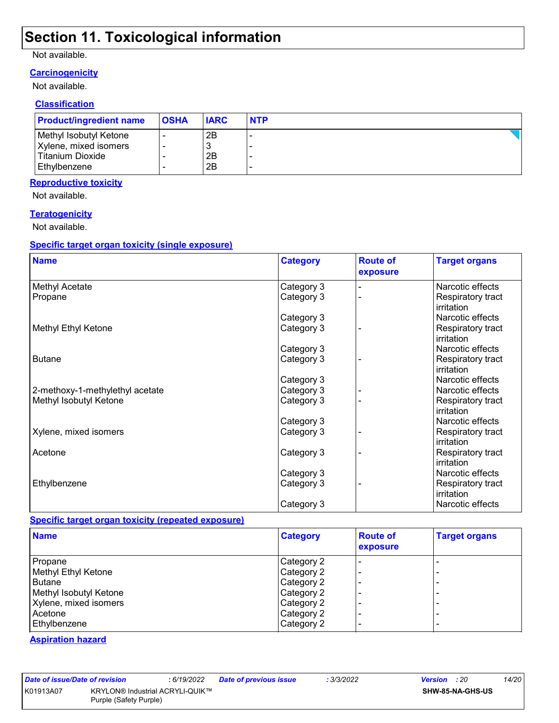#### Not available.

#### **Carcinogenicity**

Not available.

#### **Classification**

| <b>Product/ingredient name</b> | <b>OSHA</b> | <b>IARC</b> | <b>NTP</b> |
|--------------------------------|-------------|-------------|------------|
| Methyl Isobutyl Ketone         |             | 2Β          |            |
| Xylene, mixed isomers          |             |             |            |
| Titanium Dioxide               |             | 2B          |            |
| <b>Ethylbenzene</b>            |             | 2B          |            |

#### **Reproductive toxicity**

Not available.

#### **Teratogenicity**

Not available.

#### **Specific target organ toxicity (single exposure)**

| <b>Name</b>                     | <b>Category</b> | <b>Route of</b><br>exposure | <b>Target organs</b>            |
|---------------------------------|-----------------|-----------------------------|---------------------------------|
| Methyl Acetate                  | Category 3      |                             | Narcotic effects                |
| Propane                         | Category 3      |                             | Respiratory tract<br>irritation |
|                                 | Category 3      |                             | Narcotic effects                |
| Methyl Ethyl Ketone             | Category 3      |                             | Respiratory tract<br>irritation |
|                                 | Category 3      |                             | Narcotic effects                |
| <b>Butane</b>                   | Category 3      |                             | Respiratory tract<br>irritation |
|                                 | Category 3      |                             | Narcotic effects                |
| 2-methoxy-1-methylethyl acetate | Category 3      |                             | Narcotic effects                |
| Methyl Isobutyl Ketone          | Category 3      |                             | Respiratory tract<br>irritation |
|                                 | Category 3      |                             | Narcotic effects                |
| Xylene, mixed isomers           | Category 3      |                             | Respiratory tract<br>irritation |
| Acetone                         | Category 3      |                             | Respiratory tract<br>irritation |
|                                 | Category 3      |                             | Narcotic effects                |
| Ethylbenzene                    | Category 3      |                             | Respiratory tract<br>irritation |
|                                 | Category 3      |                             | Narcotic effects                |

#### **Specific target organ toxicity (repeated exposure)**

| <b>Name</b>            | <b>Category</b> | <b>Route of</b><br>exposure | <b>Target organs</b> |
|------------------------|-----------------|-----------------------------|----------------------|
| Propane                | Category 2      |                             |                      |
| Methyl Ethyl Ketone    | Category 2      |                             | -                    |
| Butane                 | Category 2      |                             | -                    |
| Methyl Isobutyl Ketone | Category 2      |                             | -                    |
| Xylene, mixed isomers  | Category 2      |                             | -                    |
| Acetone                | Category 2      |                             | -                    |
| Ethylbenzene           | Category 2      |                             | -                    |

#### **Aspiration hazard**

|  | ate of issue/Date of rev |  |      |
|--|--------------------------|--|------|
|  | 01913A07                 |  | KRYL |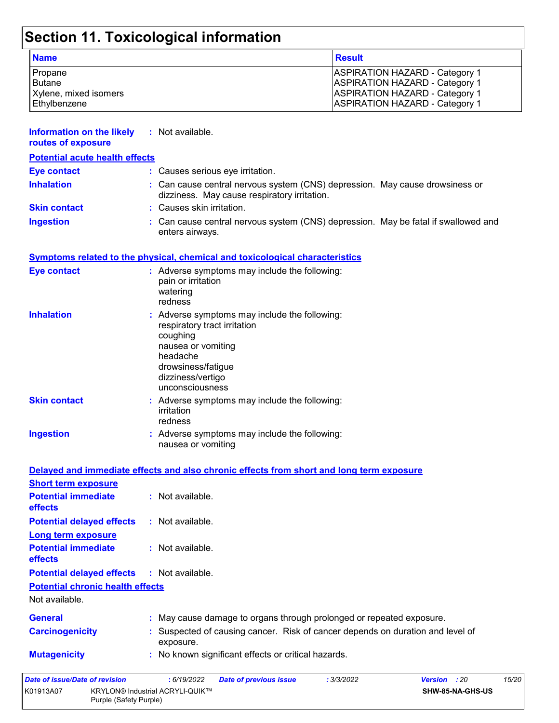| <b>Name</b>           | <b>Result</b>                         |
|-----------------------|---------------------------------------|
| Propane               | <b>ASPIRATION HAZARD - Category 1</b> |
| Butane                | <b>ASPIRATION HAZARD - Category 1</b> |
| Xylene, mixed isomers | <b>ASPIRATION HAZARD - Category 1</b> |
| Ethylbenzene          | <b>ASPIRATION HAZARD - Category 1</b> |

| <b>Information on the likely</b><br>routes of exposure | : Not available.                                                                                                                                                                          |
|--------------------------------------------------------|-------------------------------------------------------------------------------------------------------------------------------------------------------------------------------------------|
| <b>Potential acute health effects</b>                  |                                                                                                                                                                                           |
| <b>Eye contact</b>                                     | : Causes serious eye irritation.                                                                                                                                                          |
| <b>Inhalation</b>                                      | Can cause central nervous system (CNS) depression. May cause drowsiness or<br>dizziness. May cause respiratory irritation.                                                                |
| <b>Skin contact</b>                                    | Causes skin irritation.                                                                                                                                                                   |
| <b>Ingestion</b>                                       | Can cause central nervous system (CNS) depression. May be fatal if swallowed and<br>enters airways.                                                                                       |
|                                                        | <b>Symptoms related to the physical, chemical and toxicological characteristics</b>                                                                                                       |
| <b>Eye contact</b>                                     | : Adverse symptoms may include the following:<br>pain or irritation<br>watering<br>redness                                                                                                |
| <b>Inhalation</b>                                      | : Adverse symptoms may include the following:<br>respiratory tract irritation<br>coughing<br>nausea or vomiting<br>headache<br>drowsiness/fatigue<br>dizziness/vertigo<br>unconsciousness |
| <b>Skin contact</b>                                    | : Adverse symptoms may include the following:<br>irritation<br>redness                                                                                                                    |
| <b>Ingestion</b>                                       | : Adverse symptoms may include the following:<br>nausea or vomiting                                                                                                                       |
|                                                        | Delayed and immediate effects and also chronic effects from short and long term exposure                                                                                                  |
| <b>Short term exposure</b>                             |                                                                                                                                                                                           |
| <b>Potential immediate</b><br>effects                  | : Not available.                                                                                                                                                                          |
| <b>Potential delayed effects</b>                       | : Not available.                                                                                                                                                                          |
| <b>Long term exposure</b>                              |                                                                                                                                                                                           |
| <b>Potential immediate</b><br>effects                  | : Not available.                                                                                                                                                                          |
| <b>Potential delayed effects</b>                       | : Not available.                                                                                                                                                                          |
| <b>Potential chronic health effects</b>                |                                                                                                                                                                                           |
| Not available.                                         |                                                                                                                                                                                           |
| <b>General</b>                                         | : May cause damage to organs through prolonged or repeated exposure.                                                                                                                      |
| <b>Carcinogenicity</b>                                 | Suspected of causing cancer. Risk of cancer depends on duration and level of<br>exposure.                                                                                                 |
| <b>Mutagenicity</b>                                    | : No known significant effects or critical hazards.                                                                                                                                       |
| Date of issue/Date of revision                         | 15/20<br>: 6/19/2022<br>: 3/3/2022<br>Version : 20<br><b>Date of previous issue</b>                                                                                                       |
| K01913A07<br>Purple (Safety Purple)                    | KRYLON® Industrial ACRYLI-QUIK™<br>SHW-85-NA-GHS-US                                                                                                                                       |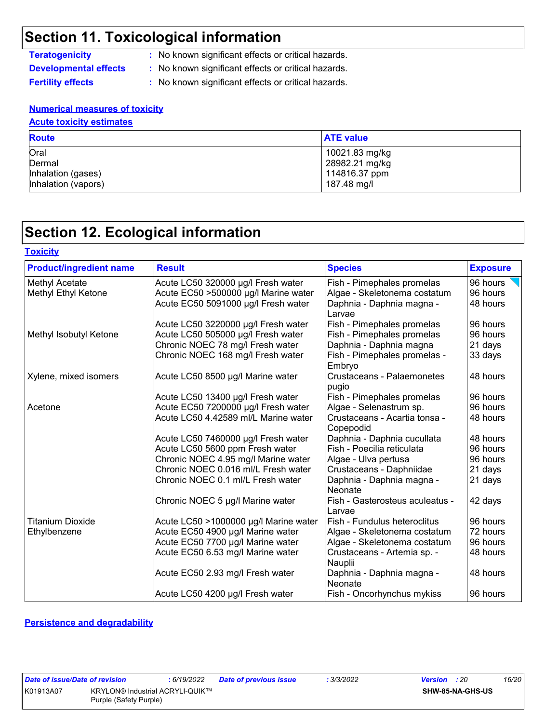**Teratogenicity :** No known significant effects or critical hazards.

**Developmental effects :** No known significant effects or critical hazards.

**Fertility effects** : No known significant effects or critical hazards.

#### **Numerical measures of toxicity Acute toxicity estimates**

| <b>AURIC MAILING COMMANDS</b>                               |                                                                  |  |  |
|-------------------------------------------------------------|------------------------------------------------------------------|--|--|
| <b>Route</b>                                                | <b>ATE value</b>                                                 |  |  |
| Oral<br>Dermal<br>Inhalation (gases)<br>Inhalation (vapors) | 10021.83 mg/kg<br>28982.21 mg/kg<br>114816.37 ppm<br>187.48 mg/l |  |  |

### **Section 12. Ecological information**

| <b>Toxicity</b>                |                                       |                                            |                 |
|--------------------------------|---------------------------------------|--------------------------------------------|-----------------|
| <b>Product/ingredient name</b> | <b>Result</b>                         | <b>Species</b>                             | <b>Exposure</b> |
| Methyl Acetate                 | Acute LC50 320000 µg/l Fresh water    | Fish - Pimephales promelas                 | 96 hours        |
| Methyl Ethyl Ketone            | Acute EC50 >500000 µg/l Marine water  | Algae - Skeletonema costatum               | 96 hours        |
|                                | Acute EC50 5091000 µg/l Fresh water   | Daphnia - Daphnia magna -<br>Larvae        | 48 hours        |
|                                | Acute LC50 3220000 µg/l Fresh water   | Fish - Pimephales promelas                 | 96 hours        |
| Methyl Isobutyl Ketone         | Acute LC50 505000 µg/l Fresh water    | Fish - Pimephales promelas                 | 96 hours        |
|                                | Chronic NOEC 78 mg/l Fresh water      | Daphnia - Daphnia magna                    | 21 days         |
|                                | Chronic NOEC 168 mg/l Fresh water     | Fish - Pimephales promelas -<br>Embryo     | 33 days         |
| Xylene, mixed isomers          | Acute LC50 8500 µg/l Marine water     | Crustaceans - Palaemonetes<br>pugio        | 48 hours        |
|                                | Acute LC50 13400 µg/l Fresh water     | Fish - Pimephales promelas                 | 96 hours        |
| Acetone                        | Acute EC50 7200000 µg/l Fresh water   | Algae - Selenastrum sp.                    | 96 hours        |
|                                | Acute LC50 4.42589 ml/L Marine water  | Crustaceans - Acartia tonsa -<br>Copepodid | 48 hours        |
|                                | Acute LC50 7460000 µg/l Fresh water   | Daphnia - Daphnia cucullata                | 48 hours        |
|                                | Acute LC50 5600 ppm Fresh water       | Fish - Poecilia reticulata                 | 96 hours        |
|                                | Chronic NOEC 4.95 mg/l Marine water   | Algae - Ulva pertusa                       | 96 hours        |
|                                | Chronic NOEC 0.016 ml/L Fresh water   | Crustaceans - Daphniidae                   | 21 days         |
|                                | Chronic NOEC 0.1 ml/L Fresh water     | Daphnia - Daphnia magna -<br>Neonate       | 21 days         |
|                                | Chronic NOEC 5 µg/l Marine water      | Fish - Gasterosteus aculeatus -<br>Larvae  | 42 days         |
| <b>Titanium Dioxide</b>        | Acute LC50 >1000000 µg/l Marine water | Fish - Fundulus heteroclitus               | 96 hours        |
| Ethylbenzene                   | Acute EC50 4900 µg/l Marine water     | Algae - Skeletonema costatum               | 72 hours        |
|                                | Acute EC50 7700 µg/l Marine water     | Algae - Skeletonema costatum               | 96 hours        |
|                                | Acute EC50 6.53 mg/l Marine water     | Crustaceans - Artemia sp. -<br>Nauplii     | 48 hours        |
|                                | Acute EC50 2.93 mg/l Fresh water      | Daphnia - Daphnia magna -<br>Neonate       | 48 hours        |
|                                | Acute LC50 4200 µg/l Fresh water      | Fish - Oncorhynchus mykiss                 | 96 hours        |

#### **Persistence and degradability**

| ate of issue/Date of revis |              |
|----------------------------|--------------|
| 01913A07                   | <b>KRYLO</b> |
|                            | - -          |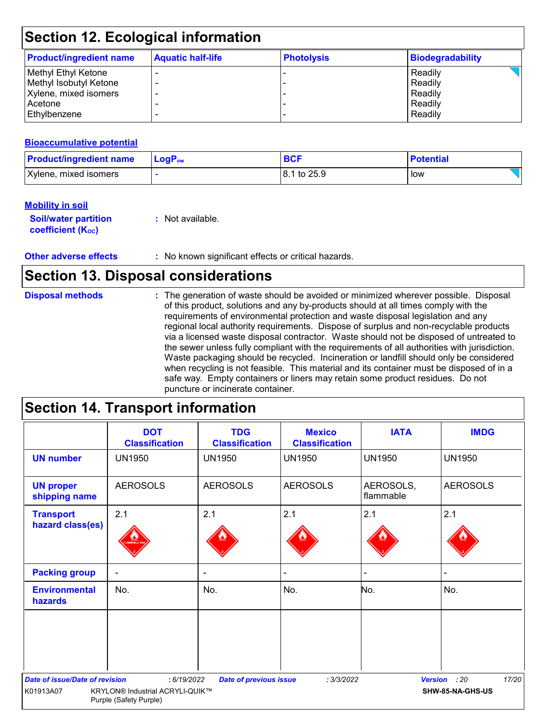| <b>Product/ingredient name</b> | <b>Aquatic half-life</b> | <b>Photolysis</b> | Biodegradability |
|--------------------------------|--------------------------|-------------------|------------------|
| Methyl Ethyl Ketone            |                          |                   | Readily          |
| Methyl Isobutyl Ketone         |                          |                   | Readily          |
| Xylene, mixed isomers          |                          |                   | Readily          |
| Acetone                        |                          |                   | Readily          |
| Ethylbenzene                   |                          |                   | Readily          |

#### **Bioaccumulative potential**

| <b>Product/ingredient name</b> | $LogPow$ | <b>BCF</b>  | <b>Potential</b> |
|--------------------------------|----------|-------------|------------------|
| Xylene, mixed isomers          |          | 8.1 to 25.9 | low              |

#### **Mobility in soil**

| <b>Soil/water partition</b> | : Not available. |
|-----------------------------|------------------|
| <b>coefficient (Koc)</b>    |                  |

**Other adverse effects** : No known significant effects or critical hazards.

### **Section 13. Disposal considerations**

#### The generation of waste should be avoided or minimized wherever possible. Disposal of this product, solutions and any by-products should at all times comply with the requirements of environmental protection and waste disposal legislation and any regional local authority requirements. Dispose of surplus and non-recyclable products via a licensed waste disposal contractor. Waste should not be disposed of untreated to the sewer unless fully compliant with the requirements of all authorities with jurisdiction. Waste packaging should be recycled. Incineration or landfill should only be considered when recycling is not feasible. This material and its container must be disposed of in a safe way. Empty containers or liners may retain some product residues. Do not puncture or incinerate container. **Disposal methods :**

### **Section 14. Transport information**

|                                       | <b>DOT</b><br><b>Classification</b>                       | <b>TDG</b><br><b>Classification</b> | <b>Mexico</b><br><b>Classification</b> | <b>IATA</b>            | <b>IMDG</b>      |
|---------------------------------------|-----------------------------------------------------------|-------------------------------------|----------------------------------------|------------------------|------------------|
| <b>UN number</b>                      | <b>UN1950</b>                                             | <b>UN1950</b>                       | <b>UN1950</b>                          | <b>UN1950</b>          | <b>UN1950</b>    |
| <b>UN proper</b><br>shipping name     | <b>AEROSOLS</b>                                           | <b>AEROSOLS</b>                     | <b>AEROSOLS</b>                        | AEROSOLS,<br>flammable | <b>AEROSOLS</b>  |
| <b>Transport</b><br>hazard class(es)  | 2.1                                                       | 2.1                                 | 2.1                                    | 2.1                    | 2.1              |
| <b>Packing group</b>                  | $\blacksquare$                                            | $\blacksquare$                      |                                        | $\blacksquare$         |                  |
| <b>Environmental</b><br>hazards       | No.                                                       | No.                                 | No.                                    | No.                    | No.              |
|                                       |                                                           |                                     |                                        |                        |                  |
| <b>Date of issue/Date of revision</b> | : 6/19/2022                                               | <b>Date of previous issue</b>       | : 3/3/2022                             | <b>Version</b>         | 17/20<br>: 20    |
| K01913A07                             | KRYLON® Industrial ACRYLI-QUIK™<br>Purple (Safety Purple) |                                     |                                        |                        | SHW-85-NA-GHS-US |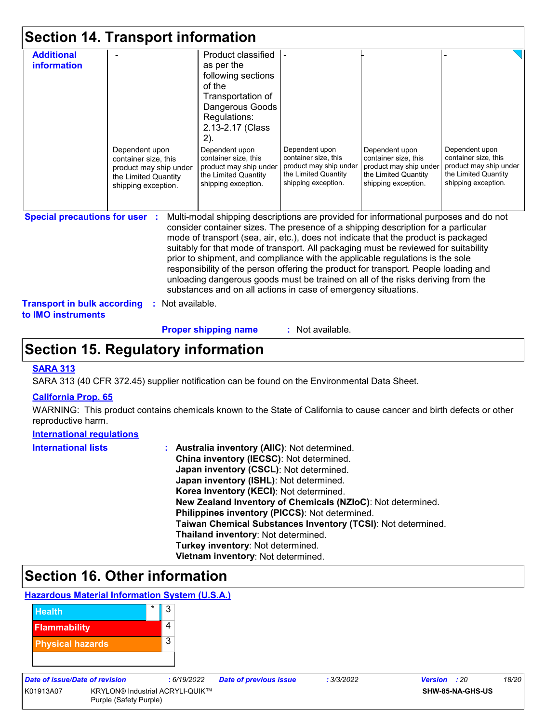|  |  |  | <b>Section 14. Transport information</b> |  |
|--|--|--|------------------------------------------|--|
|--|--|--|------------------------------------------|--|

|                | as per the<br>following sections<br>of the                                                                                                                                                       |                                                                              |                                                                        |                                                                                                                                                                                                                                                                                                                                                                                                                                                                                                                                                                                                                                                                                                                                       |
|----------------|--------------------------------------------------------------------------------------------------------------------------------------------------------------------------------------------------|------------------------------------------------------------------------------|------------------------------------------------------------------------|---------------------------------------------------------------------------------------------------------------------------------------------------------------------------------------------------------------------------------------------------------------------------------------------------------------------------------------------------------------------------------------------------------------------------------------------------------------------------------------------------------------------------------------------------------------------------------------------------------------------------------------------------------------------------------------------------------------------------------------|
|                |                                                                                                                                                                                                  |                                                                              |                                                                        |                                                                                                                                                                                                                                                                                                                                                                                                                                                                                                                                                                                                                                                                                                                                       |
|                |                                                                                                                                                                                                  |                                                                              |                                                                        |                                                                                                                                                                                                                                                                                                                                                                                                                                                                                                                                                                                                                                                                                                                                       |
|                |                                                                                                                                                                                                  |                                                                              |                                                                        |                                                                                                                                                                                                                                                                                                                                                                                                                                                                                                                                                                                                                                                                                                                                       |
|                | Transportation of                                                                                                                                                                                |                                                                              |                                                                        |                                                                                                                                                                                                                                                                                                                                                                                                                                                                                                                                                                                                                                                                                                                                       |
|                | Dangerous Goods                                                                                                                                                                                  |                                                                              |                                                                        |                                                                                                                                                                                                                                                                                                                                                                                                                                                                                                                                                                                                                                                                                                                                       |
|                | Regulations:                                                                                                                                                                                     |                                                                              |                                                                        |                                                                                                                                                                                                                                                                                                                                                                                                                                                                                                                                                                                                                                                                                                                                       |
|                |                                                                                                                                                                                                  |                                                                              |                                                                        |                                                                                                                                                                                                                                                                                                                                                                                                                                                                                                                                                                                                                                                                                                                                       |
|                |                                                                                                                                                                                                  |                                                                              |                                                                        |                                                                                                                                                                                                                                                                                                                                                                                                                                                                                                                                                                                                                                                                                                                                       |
| Dependent upon | Dependent upon                                                                                                                                                                                   | Dependent upon                                                               | Dependent upon                                                         | Dependent upon                                                                                                                                                                                                                                                                                                                                                                                                                                                                                                                                                                                                                                                                                                                        |
|                |                                                                                                                                                                                                  |                                                                              |                                                                        | container size, this<br>product may ship under                                                                                                                                                                                                                                                                                                                                                                                                                                                                                                                                                                                                                                                                                        |
|                | the Limited Quantity                                                                                                                                                                             |                                                                              | the Limited Quantity                                                   | the Limited Quantity                                                                                                                                                                                                                                                                                                                                                                                                                                                                                                                                                                                                                                                                                                                  |
|                | shipping exception.                                                                                                                                                                              | shipping exception.                                                          | shipping exception.                                                    | shipping exception.                                                                                                                                                                                                                                                                                                                                                                                                                                                                                                                                                                                                                                                                                                                   |
|                |                                                                                                                                                                                                  |                                                                              |                                                                        |                                                                                                                                                                                                                                                                                                                                                                                                                                                                                                                                                                                                                                                                                                                                       |
|                |                                                                                                                                                                                                  |                                                                              |                                                                        |                                                                                                                                                                                                                                                                                                                                                                                                                                                                                                                                                                                                                                                                                                                                       |
|                |                                                                                                                                                                                                  |                                                                              |                                                                        |                                                                                                                                                                                                                                                                                                                                                                                                                                                                                                                                                                                                                                                                                                                                       |
|                | container size, this<br>product may ship under<br>the Limited Quantity<br>shipping exception.<br><b>Special precautions for user :</b><br><b>Transport in bulk according</b><br>: Not available. | 2.13-2.17 (Class<br>$2)$ .<br>container size, this<br>product may ship under | container size, this<br>product may ship under<br>the Limited Quantity | container size, this<br>product may ship under<br>Multi-modal shipping descriptions are provided for informational purposes and do not<br>consider container sizes. The presence of a shipping description for a particular<br>mode of transport (sea, air, etc.), does not indicate that the product is packaged<br>suitably for that mode of transport. All packaging must be reviewed for suitability<br>prior to shipment, and compliance with the applicable regulations is the sole<br>responsibility of the person offering the product for transport. People loading and<br>unloading dangerous goods must be trained on all of the risks deriving from the<br>substances and on all actions in case of emergency situations. |

**Proper shipping name :**

: Not available.

### **Section 15. Regulatory information**

#### **SARA 313**

SARA 313 (40 CFR 372.45) supplier notification can be found on the Environmental Data Sheet.

#### **California Prop. 65**

WARNING: This product contains chemicals known to the State of California to cause cancer and birth defects or other reproductive harm.

#### **International regulations**

| <b>International lists</b> | : Australia inventory (AIIC): Not determined.                |
|----------------------------|--------------------------------------------------------------|
|                            | China inventory (IECSC): Not determined.                     |
|                            | Japan inventory (CSCL): Not determined.                      |
|                            | Japan inventory (ISHL): Not determined.                      |
|                            | Korea inventory (KECI): Not determined.                      |
|                            | New Zealand Inventory of Chemicals (NZIoC): Not determined.  |
|                            | Philippines inventory (PICCS): Not determined.               |
|                            | Taiwan Chemical Substances Inventory (TCSI): Not determined. |
|                            | Thailand inventory: Not determined.                          |
|                            | Turkey inventory: Not determined.                            |
|                            | Vietnam inventory: Not determined.                           |

### **Section 16. Other information**

#### **Hazardous Material Information System (U.S.A.)**



| Date of issue/Date of revision |                                                                  | : 6/19/2022 | <b>Date of previous issue</b> | : 3/3/2022 | <b>Version</b> : 20 |                         | 18/20 |
|--------------------------------|------------------------------------------------------------------|-------------|-------------------------------|------------|---------------------|-------------------------|-------|
| K01913A07                      | <b>KRYLON® Industrial ACRYLI-QUIK™</b><br>Purple (Safety Purple) |             |                               |            |                     | <b>SHW-85-NA-GHS-US</b> |       |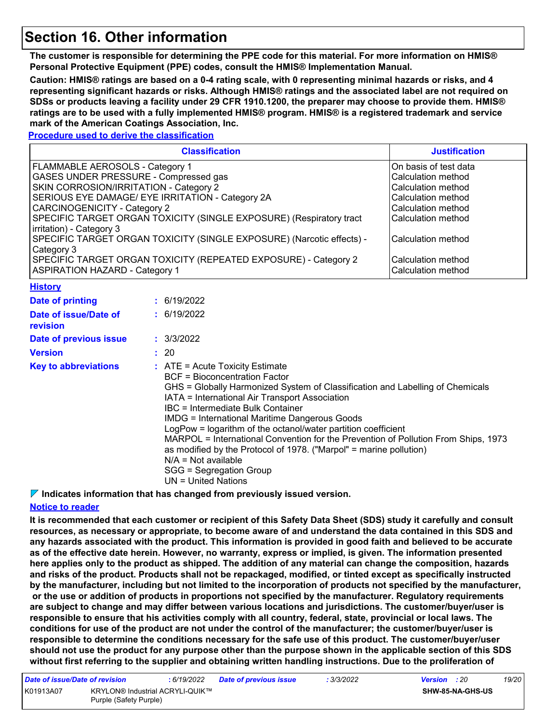### **Section 16. Other information**

**The customer is responsible for determining the PPE code for this material. For more information on HMIS® Personal Protective Equipment (PPE) codes, consult the HMIS® Implementation Manual.**

**Caution: HMIS® ratings are based on a 0-4 rating scale, with 0 representing minimal hazards or risks, and 4 representing significant hazards or risks. Although HMIS® ratings and the associated label are not required on SDSs or products leaving a facility under 29 CFR 1910.1200, the preparer may choose to provide them. HMIS® ratings are to be used with a fully implemented HMIS® program. HMIS® is a registered trademark and service mark of the American Coatings Association, Inc.**

**Procedure used to derive the classification**

| <b>Classification</b>                                                 | <b>Justification</b>   |
|-----------------------------------------------------------------------|------------------------|
| FLAMMABLE AEROSOLS - Category 1                                       | IOn basis of test data |
| GASES UNDER PRESSURE - Compressed gas                                 | l Calculation method   |
| SKIN CORROSION/IRRITATION - Category 2                                | Calculation method     |
| SERIOUS EYE DAMAGE/ EYE IRRITATION - Category 2A                      | Calculation method     |
| CARCINOGENICITY - Category 2                                          | Calculation method     |
| SPECIFIC TARGET ORGAN TOXICITY (SINGLE EXPOSURE) (Respiratory tract   | Calculation method     |
| irritation) - Category 3                                              |                        |
| SPECIFIC TARGET ORGAN TOXICITY (SINGLE EXPOSURE) (Narcotic effects) - | lCalculation method    |
| Category 3                                                            |                        |
| SPECIFIC TARGET ORGAN TOXICITY (REPEATED EXPOSURE) - Category 2       | l Calculation method   |
| <b>ASPIRATION HAZARD - Category 1</b>                                 | Calculation method     |

#### **History**

| Date of printing                  | : 6/19/2022                                                                                                                                                                                                                                                                                                                                                                                                                                                                                                                                                                                                                |
|-----------------------------------|----------------------------------------------------------------------------------------------------------------------------------------------------------------------------------------------------------------------------------------------------------------------------------------------------------------------------------------------------------------------------------------------------------------------------------------------------------------------------------------------------------------------------------------------------------------------------------------------------------------------------|
| Date of issue/Date of<br>revision | : 6/19/2022                                                                                                                                                                                                                                                                                                                                                                                                                                                                                                                                                                                                                |
| Date of previous issue            | : 3/3/2022                                                                                                                                                                                                                                                                                                                                                                                                                                                                                                                                                                                                                 |
| <b>Version</b>                    | : 20                                                                                                                                                                                                                                                                                                                                                                                                                                                                                                                                                                                                                       |
| <b>Key to abbreviations</b>       | $\therefore$ ATE = Acute Toxicity Estimate<br><b>BCF</b> = Bioconcentration Factor<br>GHS = Globally Harmonized System of Classification and Labelling of Chemicals<br>IATA = International Air Transport Association<br>IBC = Intermediate Bulk Container<br><b>IMDG</b> = International Maritime Dangerous Goods<br>LogPow = logarithm of the octanol/water partition coefficient<br>MARPOL = International Convention for the Prevention of Pollution From Ships, 1973<br>as modified by the Protocol of 1978. ("Marpol" = marine pollution)<br>$N/A = Not available$<br>SGG = Segregation Group<br>UN = United Nations |

**Indicates information that has changed from previously issued version.**

#### **Notice to reader**

**It is recommended that each customer or recipient of this Safety Data Sheet (SDS) study it carefully and consult resources, as necessary or appropriate, to become aware of and understand the data contained in this SDS and any hazards associated with the product. This information is provided in good faith and believed to be accurate as of the effective date herein. However, no warranty, express or implied, is given. The information presented here applies only to the product as shipped. The addition of any material can change the composition, hazards and risks of the product. Products shall not be repackaged, modified, or tinted except as specifically instructed by the manufacturer, including but not limited to the incorporation of products not specified by the manufacturer, or the use or addition of products in proportions not specified by the manufacturer. Regulatory requirements are subject to change and may differ between various locations and jurisdictions. The customer/buyer/user is responsible to ensure that his activities comply with all country, federal, state, provincial or local laws. The conditions for use of the product are not under the control of the manufacturer; the customer/buyer/user is responsible to determine the conditions necessary for the safe use of this product. The customer/buyer/user should not use the product for any purpose other than the purpose shown in the applicable section of this SDS without first referring to the supplier and obtaining written handling instructions. Due to the proliferation of** 

| Date of issue/Date of revision |                                                           | : 6/19/2022 | <b>Date of previous issue</b> | : 3/3/2022 | <b>Version</b> : 20 |                         | 19/20 |
|--------------------------------|-----------------------------------------------------------|-------------|-------------------------------|------------|---------------------|-------------------------|-------|
| K01913A07                      | KRYLON® Industrial ACRYLI-QUIK™<br>Purple (Safety Purple) |             |                               |            |                     | <b>SHW-85-NA-GHS-US</b> |       |